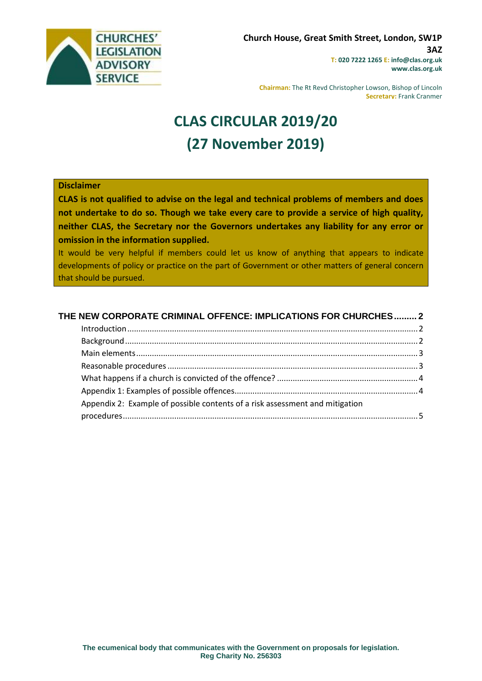

**Chairman:** The Rt Revd Christopher Lowson, Bishop of Lincoln **Secretary:** Frank Cranmer

# **CLAS CIRCULAR 2019/20 (27 November 2019)**

#### **Disclaimer**

**CLAS is not qualified to advise on the legal and technical problems of members and does not undertake to do so. Though we take every care to provide a service of high quality, neither CLAS, the Secretary nor the Governors undertakes any liability for any error or omission in the information supplied.**

It would be very helpful if members could let us know of anything that appears to indicate developments of policy or practice on the part of Government or other matters of general concern that should be pursued.

| THE NEW CORPORATE CRIMINAL OFFENCE: IMPLICATIONS FOR CHURCHES 2              |  |
|------------------------------------------------------------------------------|--|
|                                                                              |  |
|                                                                              |  |
|                                                                              |  |
|                                                                              |  |
|                                                                              |  |
|                                                                              |  |
| Appendix 2: Example of possible contents of a risk assessment and mitigation |  |
|                                                                              |  |
|                                                                              |  |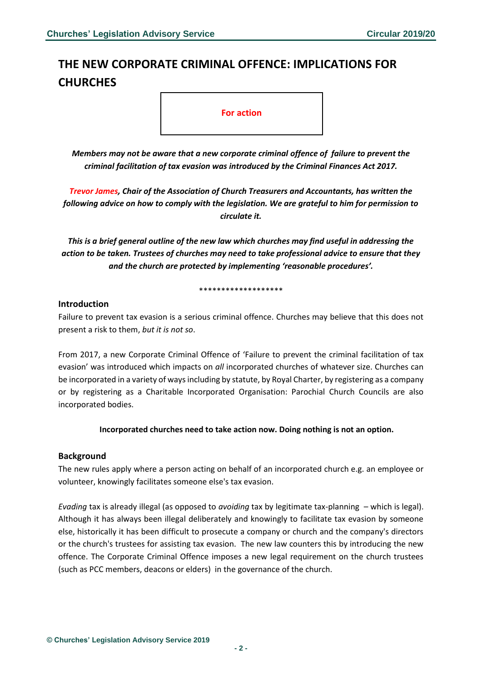# <span id="page-1-0"></span>**THE NEW CORPORATE CRIMINAL OFFENCE: IMPLICATIONS FOR CHURCHES**

**For action**

*Members may not be aware that a new corporate criminal offence of failure to prevent the criminal facilitation of tax evasion was introduced by the Criminal Finances Act 2017.*

*Trevor James, Chair of the Association of Church Treasurers and Accountants, has written the following advice on how to comply with the legislation. We are grateful to him for permission to circulate it.*

*This is a brief general outline of the new law which churches may find useful in addressing the action to be taken. Trustees of churches may need to take professional advice to ensure that they and the church are protected by implementing 'reasonable procedures'.*

#### \*\*\*\*\*\*\*\*\*\*\*\*\*\*\*\*\*\*\*

#### <span id="page-1-1"></span>**Introduction**

Failure to prevent tax evasion is a serious criminal offence. Churches may believe that this does not present a risk to them, *but it is not so*.

From 2017, a new Corporate Criminal Offence of 'Failure to prevent the criminal facilitation of tax evasion' was introduced which impacts on *all* incorporated churches of whatever size. Churches can be incorporated in a variety of ways including by statute, by Royal Charter, by registering as a company or by registering as a Charitable Incorporated Organisation: Parochial Church Councils are also incorporated bodies.

#### **Incorporated churches need to take action now. Doing nothing is not an option.**

#### <span id="page-1-2"></span>**Background**

The new rules apply where a person acting on behalf of an incorporated church e.g. an employee or volunteer, knowingly facilitates someone else's tax evasion.

<span id="page-1-3"></span>*Evading* tax is already illegal (as opposed to *avoiding* tax by legitimate tax-planning – which is legal). Although it has always been illegal deliberately and knowingly to facilitate tax evasion by someone else, historically it has been difficult to prosecute a company or church and the company's directors or the church's trustees for assisting tax evasion. The new law counters this by introducing the new offence. The Corporate Criminal Offence imposes a new legal requirement on the church trustees (such as PCC members, deacons or elders) in the governance of the church.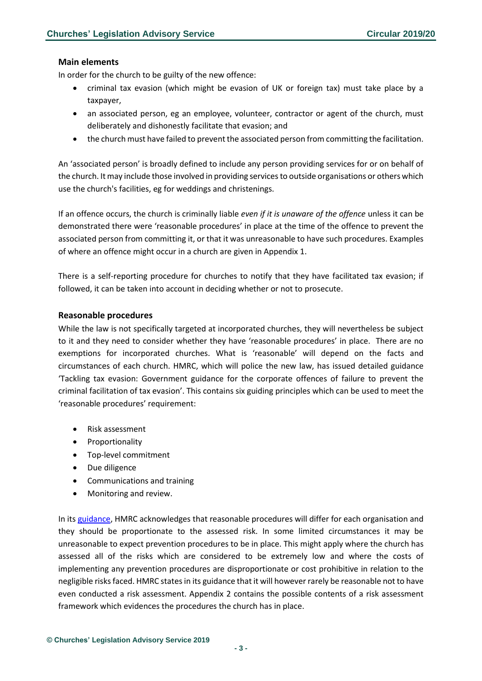## **Main elements**

In order for the church to be guilty of the new offence:

- criminal tax evasion (which might be evasion of UK or foreign tax) must take place by a taxpayer,
- an associated person, eg an employee, volunteer, contractor or agent of the church, must deliberately and dishonestly facilitate that evasion; and
- the church must have failed to prevent the associated person from committing the facilitation.

An 'associated person' is broadly defined to include any person providing services for or on behalf of the church. It may include those involved in providing services to outside organisations or others which use the church's facilities, eg for weddings and christenings.

If an offence occurs, the church is criminally liable *even if it is unaware of the offence* unless it can be demonstrated there were 'reasonable procedures' in place at the time of the offence to prevent the associated person from committing it, or that it was unreasonable to have such procedures. Examples of where an offence might occur in a church are given in Appendix 1.

There is a self-reporting procedure for churches to notify that they have facilitated tax evasion; if followed, it can be taken into account in deciding whether or not to prosecute.

#### <span id="page-2-0"></span>**Reasonable procedures**

While the law is not specifically targeted at incorporated churches, they will nevertheless be subject to it and they need to consider whether they have 'reasonable procedures' in place. There are no exemptions for incorporated churches. What is 'reasonable' will depend on the facts and circumstances of each church. HMRC, which will police the new law, has issued detailed guidance 'Tackling tax evasion: Government guidance for the corporate offences of failure to prevent the criminal facilitation of tax evasion'. This contains six guiding principles which can be used to meet the 'reasonable procedures' requirement:

- Risk assessment
- Proportionality
- Top-level commitment
- Due diligence
- Communications and training
- Monitoring and review.

In its [guidance,](https://assets.publishing.service.gov.uk/government/uploads/system/uploads/attachment_data/file/672231/Tackling-tax-evasion-corporate-offences.pdf) HMRC acknowledges that reasonable procedures will differ for each organisation and they should be proportionate to the assessed risk. In some limited circumstances it may be unreasonable to expect prevention procedures to be in place. This might apply where the church has assessed all of the risks which are considered to be extremely low and where the costs of implementing any prevention procedures are disproportionate or cost prohibitive in relation to the negligible risks faced. HMRC states in its guidance that it will however rarely be reasonable not to have even conducted a risk assessment. Appendix 2 contains the possible contents of a risk assessment framework which evidences the procedures the church has in place.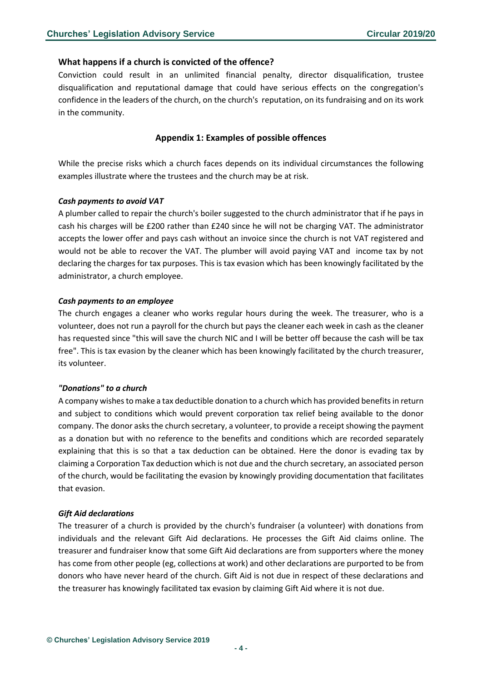#### <span id="page-3-0"></span>**What happens if a church is convicted of the offence?**

Conviction could result in an unlimited financial penalty, director disqualification, trustee disqualification and reputational damage that could have serious effects on the congregation's confidence in the leaders of the church, on the church's reputation, on its fundraising and on its work in the community.

## <span id="page-3-1"></span>**Appendix 1: Examples of possible offences**

While the precise risks which a church faces depends on its individual circumstances the following examples illustrate where the trustees and the church may be at risk.

#### *Cash payments to avoid VAT*

A plumber called to repair the church's boiler suggested to the church administrator that if he pays in cash his charges will be £200 rather than £240 since he will not be charging VAT. The administrator accepts the lower offer and pays cash without an invoice since the church is not VAT registered and would not be able to recover the VAT. The plumber will avoid paying VAT and income tax by not declaring the charges for tax purposes. This is tax evasion which has been knowingly facilitated by the administrator, a church employee.

#### *Cash payments to an employee*

The church engages a cleaner who works regular hours during the week. The treasurer, who is a volunteer, does not run a payroll for the church but pays the cleaner each week in cash as the cleaner has requested since "this will save the church NIC and I will be better off because the cash will be tax free". This is tax evasion by the cleaner which has been knowingly facilitated by the church treasurer, its volunteer.

#### *"Donations" to a church*

A company wishes to make a tax deductible donation to a church which has provided benefits in return and subject to conditions which would prevent corporation tax relief being available to the donor company. The donor asks the church secretary, a volunteer, to provide a receipt showing the payment as a donation but with no reference to the benefits and conditions which are recorded separately explaining that this is so that a tax deduction can be obtained. Here the donor is evading tax by claiming a Corporation Tax deduction which is not due and the church secretary, an associated person of the church, would be facilitating the evasion by knowingly providing documentation that facilitates that evasion.

#### *Gift Aid declarations*

<span id="page-3-2"></span>The treasurer of a church is provided by the church's fundraiser (a volunteer) with donations from individuals and the relevant Gift Aid declarations. He processes the Gift Aid claims online. The treasurer and fundraiser know that some Gift Aid declarations are from supporters where the money has come from other people (eg, collections at work) and other declarations are purported to be from donors who have never heard of the church. Gift Aid is not due in respect of these declarations and the treasurer has knowingly facilitated tax evasion by claiming Gift Aid where it is not due.